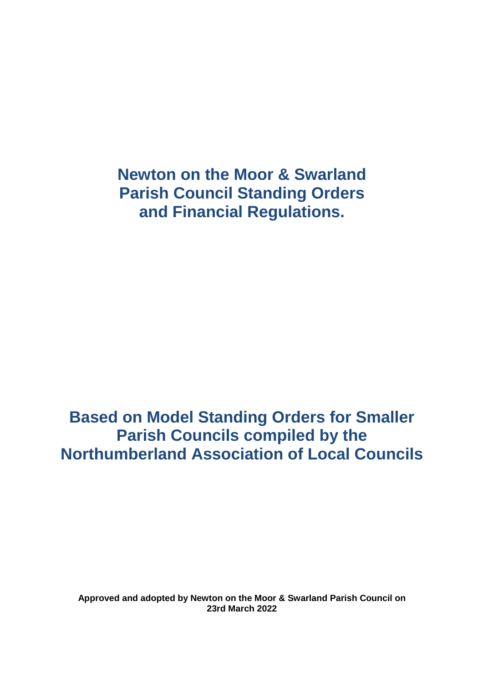**Based on Model Standing Orders for Smaller Parish Councils compiled by the Northumberland Association of Local Councils**

**Approved and adopted by Newton on the Moor & Swarland Parish Council on 23rd March 2022**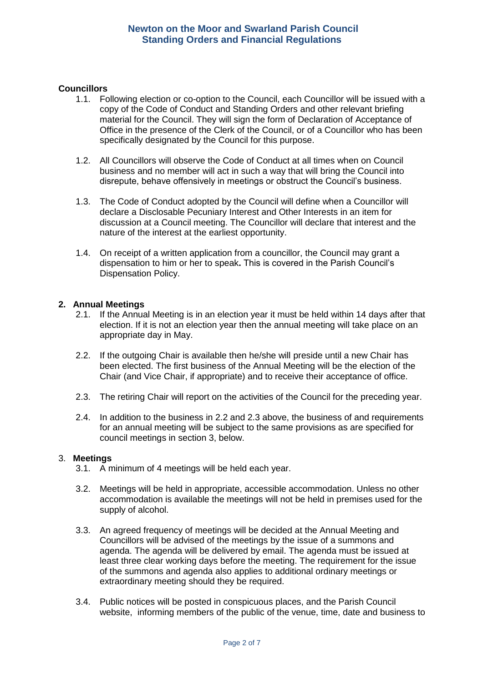### **Councillors**

- 1.1. Following election or co-option to the Council, each Councillor will be issued with a copy of the Code of Conduct and Standing Orders and other relevant briefing material for the Council. They will sign the form of Declaration of Acceptance of Office in the presence of the Clerk of the Council, or of a Councillor who has been specifically designated by the Council for this purpose.
- 1.2. All Councillors will observe the Code of Conduct at all times when on Council business and no member will act in such a way that will bring the Council into disrepute, behave offensively in meetings or obstruct the Council's business.
- 1.3. The Code of Conduct adopted by the Council will define when a Councillor will declare a Disclosable Pecuniary Interest and Other Interests in an item for discussion at a Council meeting. The Councillor will declare that interest and the nature of the interest at the earliest opportunity.
- 1.4. On receipt of a written application from a councillor, the Council may grant a dispensation to him or her to speak**.** This is covered in the Parish Council's Dispensation Policy.

## **2. Annual Meetings**

- 2.1. If the Annual Meeting is in an election year it must be held within 14 days after that election. If it is not an election year then the annual meeting will take place on an appropriate day in May.
- 2.2. If the outgoing Chair is available then he/she will preside until a new Chair has been elected. The first business of the Annual Meeting will be the election of the Chair (and Vice Chair, if appropriate) and to receive their acceptance of office.
- 2.3. The retiring Chair will report on the activities of the Council for the preceding year.
- 2.4. In addition to the business in 2.2 and 2.3 above, the business of and requirements for an annual meeting will be subject to the same provisions as are specified for council meetings in section 3, below.

#### 3. **Meetings**

- 3.1. A minimum of 4 meetings will be held each year.
- 3.2. Meetings will be held in appropriate, accessible accommodation. Unless no other accommodation is available the meetings will not be held in premises used for the supply of alcohol.
- 3.3. An agreed frequency of meetings will be decided at the Annual Meeting and Councillors will be advised of the meetings by the issue of a summons and agenda. The agenda will be delivered by email. The agenda must be issued at least three clear working days before the meeting. The requirement for the issue of the summons and agenda also applies to additional ordinary meetings or extraordinary meeting should they be required.
- 3.4. Public notices will be posted in conspicuous places, and the Parish Council website, informing members of the public of the venue, time, date and business to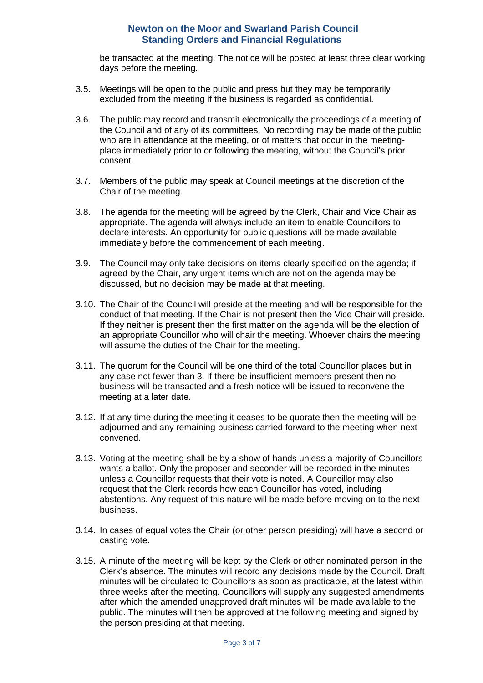be transacted at the meeting. The notice will be posted at least three clear working days before the meeting.

- 3.5. Meetings will be open to the public and press but they may be temporarily excluded from the meeting if the business is regarded as confidential.
- 3.6. The public may record and transmit electronically the proceedings of a meeting of the Council and of any of its committees. No recording may be made of the public who are in attendance at the meeting, or of matters that occur in the meetingplace immediately prior to or following the meeting, without the Council's prior consent.
- 3.7. Members of the public may speak at Council meetings at the discretion of the Chair of the meeting.
- 3.8. The agenda for the meeting will be agreed by the Clerk, Chair and Vice Chair as appropriate. The agenda will always include an item to enable Councillors to declare interests. An opportunity for public questions will be made available immediately before the commencement of each meeting.
- 3.9. The Council may only take decisions on items clearly specified on the agenda; if agreed by the Chair, any urgent items which are not on the agenda may be discussed, but no decision may be made at that meeting.
- 3.10. The Chair of the Council will preside at the meeting and will be responsible for the conduct of that meeting. If the Chair is not present then the Vice Chair will preside. If they neither is present then the first matter on the agenda will be the election of an appropriate Councillor who will chair the meeting. Whoever chairs the meeting will assume the duties of the Chair for the meeting.
- 3.11. The quorum for the Council will be one third of the total Councillor places but in any case not fewer than 3. If there be insufficient members present then no business will be transacted and a fresh notice will be issued to reconvene the meeting at a later date.
- 3.12. If at any time during the meeting it ceases to be quorate then the meeting will be adjourned and any remaining business carried forward to the meeting when next convened.
- 3.13. Voting at the meeting shall be by a show of hands unless a majority of Councillors wants a ballot. Only the proposer and seconder will be recorded in the minutes unless a Councillor requests that their vote is noted. A Councillor may also request that the Clerk records how each Councillor has voted, including abstentions. Any request of this nature will be made before moving on to the next business.
- 3.14. In cases of equal votes the Chair (or other person presiding) will have a second or casting vote.
- 3.15. A minute of the meeting will be kept by the Clerk or other nominated person in the Clerk's absence. The minutes will record any decisions made by the Council. Draft minutes will be circulated to Councillors as soon as practicable, at the latest within three weeks after the meeting. Councillors will supply any suggested amendments after which the amended unapproved draft minutes will be made available to the public. The minutes will then be approved at the following meeting and signed by the person presiding at that meeting.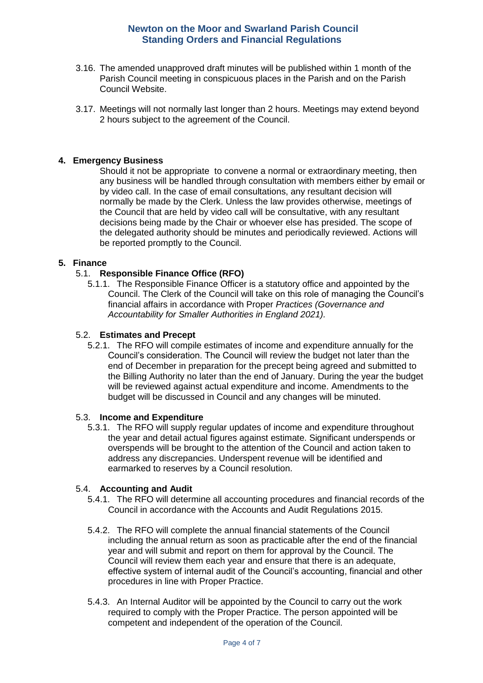- 3.16. The amended unapproved draft minutes will be published within 1 month of the Parish Council meeting in conspicuous places in the Parish and on the Parish Council Website.
- 3.17. Meetings will not normally last longer than 2 hours. Meetings may extend beyond 2 hours subject to the agreement of the Council.

### **4. Emergency Business**

Should it not be appropriate to convene a normal or extraordinary meeting, then any business will be handled through consultation with members either by email or by video call. In the case of email consultations, any resultant decision will normally be made by the Clerk. Unless the law provides otherwise, meetings of the Council that are held by video call will be consultative, with any resultant decisions being made by the Chair or whoever else has presided. The scope of the delegated authority should be minutes and periodically reviewed. Actions will be reported promptly to the Council.

## **5. Finance**

## 5.1. **Responsible Finance Office (RFO)**

5.1.1. The Responsible Finance Officer is a statutory office and appointed by the Council. The Clerk of the Council will take on this role of managing the Council's financial affairs in accordance with Proper *Practices (Governance and Accountability for Smaller Authorities in England 2021).*

#### 5.2. **Estimates and Precept**

5.2.1. The RFO will compile estimates of income and expenditure annually for the Council's consideration. The Council will review the budget not later than the end of December in preparation for the precept being agreed and submitted to the Billing Authority no later than the end of January. During the year the budget will be reviewed against actual expenditure and income. Amendments to the budget will be discussed in Council and any changes will be minuted.

#### 5.3. **Income and Expenditure**

5.3.1. The RFO will supply regular updates of income and expenditure throughout the year and detail actual figures against estimate. Significant underspends or overspends will be brought to the attention of the Council and action taken to address any discrepancies. Underspent revenue will be identified and earmarked to reserves by a Council resolution.

## 5.4. **Accounting and Audit**

- 5.4.1. The RFO will determine all accounting procedures and financial records of the Council in accordance with the Accounts and Audit Regulations 2015.
- 5.4.2. The RFO will complete the annual financial statements of the Council including the annual return as soon as practicable after the end of the financial year and will submit and report on them for approval by the Council. The Council will review them each year and ensure that there is an adequate, effective system of internal audit of the Council's accounting, financial and other procedures in line with Proper Practice.
- 5.4.3. An Internal Auditor will be appointed by the Council to carry out the work required to comply with the Proper Practice. The person appointed will be competent and independent of the operation of the Council.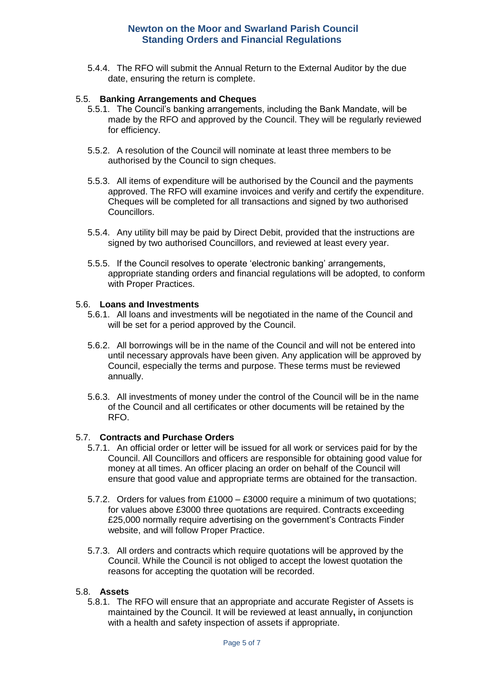5.4.4. The RFO will submit the Annual Return to the External Auditor by the due date, ensuring the return is complete.

#### 5.5. **Banking Arrangements and Cheques**

- 5.5.1. The Council's banking arrangements, including the Bank Mandate, will be made by the RFO and approved by the Council. They will be regularly reviewed for efficiency.
- 5.5.2. A resolution of the Council will nominate at least three members to be authorised by the Council to sign cheques.
- 5.5.3. All items of expenditure will be authorised by the Council and the payments approved. The RFO will examine invoices and verify and certify the expenditure. Cheques will be completed for all transactions and signed by two authorised Councillors.
- 5.5.4. Any utility bill may be paid by Direct Debit, provided that the instructions are signed by two authorised Councillors, and reviewed at least every year.
- 5.5.5. If the Council resolves to operate 'electronic banking' arrangements, appropriate standing orders and financial regulations will be adopted, to conform with Proper Practices.

#### 5.6. **Loans and Investments**

- 5.6.1. All loans and investments will be negotiated in the name of the Council and will be set for a period approved by the Council.
- 5.6.2. All borrowings will be in the name of the Council and will not be entered into until necessary approvals have been given. Any application will be approved by Council, especially the terms and purpose. These terms must be reviewed annually.
- 5.6.3. All investments of money under the control of the Council will be in the name of the Council and all certificates or other documents will be retained by the RFO.

## 5.7. **Contracts and Purchase Orders**

- 5.7.1. An official order or letter will be issued for all work or services paid for by the Council. All Councillors and officers are responsible for obtaining good value for money at all times. An officer placing an order on behalf of the Council will ensure that good value and appropriate terms are obtained for the transaction.
- 5.7.2. Orders for values from £1000 £3000 require a minimum of two quotations; for values above £3000 three quotations are required. Contracts exceeding £25,000 normally require advertising on the government's Contracts Finder website, and will follow Proper Practice.
- 5.7.3. All orders and contracts which require quotations will be approved by the Council. While the Council is not obliged to accept the lowest quotation the reasons for accepting the quotation will be recorded.

#### 5.8. **Assets**

5.8.1. The RFO will ensure that an appropriate and accurate Register of Assets is maintained by the Council. It will be reviewed at least annually**,** in conjunction with a health and safety inspection of assets if appropriate.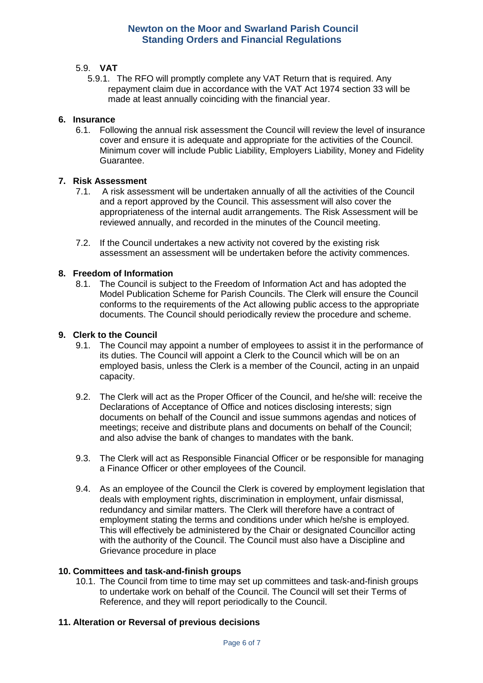# 5.9. **VAT**

5.9.1. The RFO will promptly complete any VAT Return that is required. Any repayment claim due in accordance with the VAT Act 1974 section 33 will be made at least annually coinciding with the financial year.

## **6. Insurance**

6.1. Following the annual risk assessment the Council will review the level of insurance cover and ensure it is adequate and appropriate for the activities of the Council. Minimum cover will include Public Liability, Employers Liability, Money and Fidelity Guarantee.

#### **7. Risk Assessment**

- 7.1. A risk assessment will be undertaken annually of all the activities of the Council and a report approved by the Council. This assessment will also cover the appropriateness of the internal audit arrangements. The Risk Assessment will be reviewed annually, and recorded in the minutes of the Council meeting.
- 7.2. If the Council undertakes a new activity not covered by the existing risk assessment an assessment will be undertaken before the activity commences.

#### **8. Freedom of Information**

8.1. The Council is subject to the Freedom of Information Act and has adopted the Model Publication Scheme for Parish Councils. The Clerk will ensure the Council conforms to the requirements of the Act allowing public access to the appropriate documents. The Council should periodically review the procedure and scheme.

#### **9. Clerk to the Council**

- 9.1. The Council may appoint a number of employees to assist it in the performance of its duties. The Council will appoint a Clerk to the Council which will be on an employed basis, unless the Clerk is a member of the Council, acting in an unpaid capacity.
- 9.2. The Clerk will act as the Proper Officer of the Council, and he/she will: receive the Declarations of Acceptance of Office and notices disclosing interests; sign documents on behalf of the Council and issue summons agendas and notices of meetings; receive and distribute plans and documents on behalf of the Council; and also advise the bank of changes to mandates with the bank.
- 9.3. The Clerk will act as Responsible Financial Officer or be responsible for managing a Finance Officer or other employees of the Council.
- 9.4. As an employee of the Council the Clerk is covered by employment legislation that deals with employment rights, discrimination in employment, unfair dismissal, redundancy and similar matters. The Clerk will therefore have a contract of employment stating the terms and conditions under which he/she is employed. This will effectively be administered by the Chair or designated Councillor acting with the authority of the Council. The Council must also have a Discipline and Grievance procedure in place

#### **10. Committees and task-and-finish groups**

10.1. The Council from time to time may set up committees and task-and-finish groups to undertake work on behalf of the Council. The Council will set their Terms of Reference, and they will report periodically to the Council.

## **11. Alteration or Reversal of previous decisions**